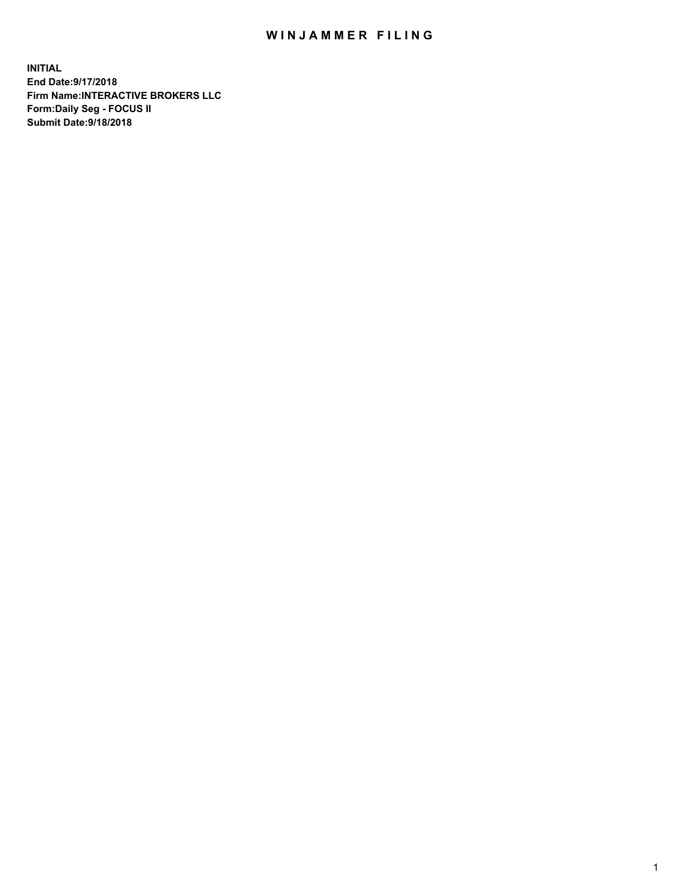## WIN JAMMER FILING

**INITIAL End Date:9/17/2018 Firm Name:INTERACTIVE BROKERS LLC Form:Daily Seg - FOCUS II Submit Date:9/18/2018**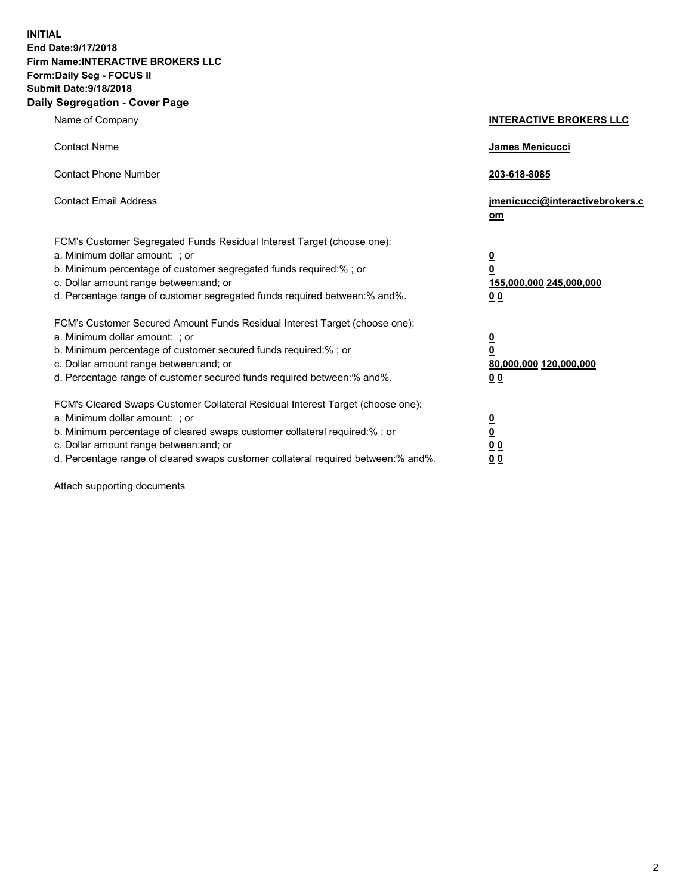**INITIAL End Date:9/17/2018 Firm Name:INTERACTIVE BROKERS LLC Form:Daily Seg - FOCUS II Submit Date:9/18/2018 Daily Segregation - Cover Page**

| Name of Company                                                                                                                                                                                                                                                                                                                | <b>INTERACTIVE BROKERS LLC</b>                                                                  |
|--------------------------------------------------------------------------------------------------------------------------------------------------------------------------------------------------------------------------------------------------------------------------------------------------------------------------------|-------------------------------------------------------------------------------------------------|
| <b>Contact Name</b>                                                                                                                                                                                                                                                                                                            | James Menicucci                                                                                 |
| <b>Contact Phone Number</b>                                                                                                                                                                                                                                                                                                    | 203-618-8085                                                                                    |
| <b>Contact Email Address</b>                                                                                                                                                                                                                                                                                                   | jmenicucci@interactivebrokers.c<br>om                                                           |
| FCM's Customer Segregated Funds Residual Interest Target (choose one):<br>a. Minimum dollar amount: ; or<br>b. Minimum percentage of customer segregated funds required:% ; or<br>c. Dollar amount range between: and; or<br>d. Percentage range of customer segregated funds required between:% and%.                         | $\overline{\mathbf{0}}$<br>$\overline{\mathbf{0}}$<br>155,000,000 245,000,000<br>0 <sub>0</sub> |
| FCM's Customer Secured Amount Funds Residual Interest Target (choose one):<br>a. Minimum dollar amount: ; or<br>b. Minimum percentage of customer secured funds required:% ; or<br>c. Dollar amount range between: and; or<br>d. Percentage range of customer secured funds required between:% and%.                           | $\overline{\mathbf{0}}$<br>0<br>80,000,000 120,000,000<br>0 <sub>0</sub>                        |
| FCM's Cleared Swaps Customer Collateral Residual Interest Target (choose one):<br>a. Minimum dollar amount: ; or<br>b. Minimum percentage of cleared swaps customer collateral required:% ; or<br>c. Dollar amount range between: and; or<br>d. Percentage range of cleared swaps customer collateral required between:% and%. | $\overline{\mathbf{0}}$<br><u>0</u><br>$\underline{0}$ $\underline{0}$<br>00                    |

Attach supporting documents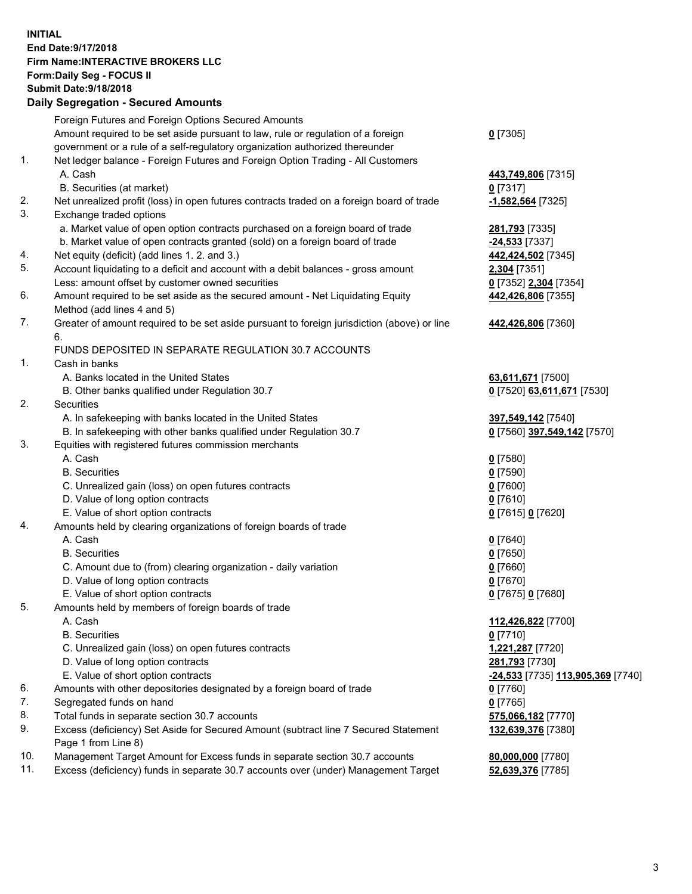## **INITIAL End Date:9/17/2018 Firm Name:INTERACTIVE BROKERS LLC Form:Daily Seg - FOCUS II Submit Date:9/18/2018 Daily Segregation - Secured Amounts**

|     | Dany Ocgregation - oceaned Anioante                                                                        |                                                         |
|-----|------------------------------------------------------------------------------------------------------------|---------------------------------------------------------|
|     | Foreign Futures and Foreign Options Secured Amounts                                                        |                                                         |
|     | Amount required to be set aside pursuant to law, rule or regulation of a foreign                           | $0$ [7305]                                              |
|     | government or a rule of a self-regulatory organization authorized thereunder                               |                                                         |
| 1.  | Net ledger balance - Foreign Futures and Foreign Option Trading - All Customers                            |                                                         |
|     | A. Cash                                                                                                    | 443,749,806 [7315]                                      |
|     | B. Securities (at market)                                                                                  | $0$ [7317]                                              |
| 2.  | Net unrealized profit (loss) in open futures contracts traded on a foreign board of trade                  | -1,582,564 [7325]                                       |
| 3.  | Exchange traded options                                                                                    |                                                         |
|     | a. Market value of open option contracts purchased on a foreign board of trade                             | 281,793 [7335]                                          |
|     | b. Market value of open contracts granted (sold) on a foreign board of trade                               | -24,533 [7337]                                          |
| 4.  | Net equity (deficit) (add lines 1.2. and 3.)                                                               | 442,424,502 [7345]                                      |
| 5.  | Account liquidating to a deficit and account with a debit balances - gross amount                          | 2,304 [7351]                                            |
|     | Less: amount offset by customer owned securities                                                           | 0 [7352] 2,304 [7354]                                   |
| 6.  | Amount required to be set aside as the secured amount - Net Liquidating Equity                             | 442,426,806 [7355]                                      |
|     | Method (add lines 4 and 5)                                                                                 |                                                         |
| 7.  | Greater of amount required to be set aside pursuant to foreign jurisdiction (above) or line<br>6.          | 442,426,806 [7360]                                      |
|     | FUNDS DEPOSITED IN SEPARATE REGULATION 30.7 ACCOUNTS                                                       |                                                         |
| 1.  | Cash in banks                                                                                              |                                                         |
|     | A. Banks located in the United States                                                                      | 63,611,671 [7500]                                       |
|     | B. Other banks qualified under Regulation 30.7                                                             | 0 [7520] 63,611,671 [7530]                              |
| 2.  | Securities                                                                                                 |                                                         |
|     | A. In safekeeping with banks located in the United States                                                  | 397,549,142 [7540]                                      |
|     | B. In safekeeping with other banks qualified under Regulation 30.7                                         | 0 [7560] 397,549,142 [7570]                             |
| 3.  | Equities with registered futures commission merchants                                                      |                                                         |
|     | A. Cash                                                                                                    | $0$ [7580]                                              |
|     | <b>B.</b> Securities                                                                                       | $0$ [7590]                                              |
|     | C. Unrealized gain (loss) on open futures contracts                                                        | $0$ [7600]                                              |
|     | D. Value of long option contracts                                                                          | $0$ [7610]                                              |
|     | E. Value of short option contracts                                                                         | 0 [7615] 0 [7620]                                       |
| 4.  | Amounts held by clearing organizations of foreign boards of trade                                          |                                                         |
|     | A. Cash                                                                                                    | $0$ [7640]                                              |
|     | <b>B.</b> Securities                                                                                       | $0$ [7650]                                              |
|     | C. Amount due to (from) clearing organization - daily variation                                            | $0$ [7660]                                              |
|     | D. Value of long option contracts                                                                          | $0$ [7670]                                              |
|     | E. Value of short option contracts                                                                         | 0 [7675] 0 [7680]                                       |
| 5.  | Amounts held by members of foreign boards of trade                                                         |                                                         |
|     | A. Cash                                                                                                    | 112,426,822 [7700]                                      |
|     | <b>B.</b> Securities                                                                                       | $0$ [7710]                                              |
|     | C. Unrealized gain (loss) on open futures contracts                                                        | 1,221,287 [7720]                                        |
|     | D. Value of long option contracts                                                                          | 281,793 [7730]                                          |
|     | E. Value of short option contracts                                                                         | <u>-<b>24,533</b> [</u> 7735] <u>113,905,369</u> [7740] |
| 6.  | Amounts with other depositories designated by a foreign board of trade                                     | $0$ [7760]                                              |
| 7.  | Segregated funds on hand                                                                                   | $0$ [7765]                                              |
| 8.  | Total funds in separate section 30.7 accounts                                                              | 575,066,182 [7770]                                      |
| 9.  | Excess (deficiency) Set Aside for Secured Amount (subtract line 7 Secured Statement<br>Page 1 from Line 8) | 132,639,376 [7380]                                      |
| 10. | Management Target Amount for Excess funds in separate section 30.7 accounts                                |                                                         |
| 11. | Excess (deficiency) funds in separate 30.7 accounts over (under) Management Target                         | 80,000,000 [7780]<br>52,639,376 [7785]                  |
|     |                                                                                                            |                                                         |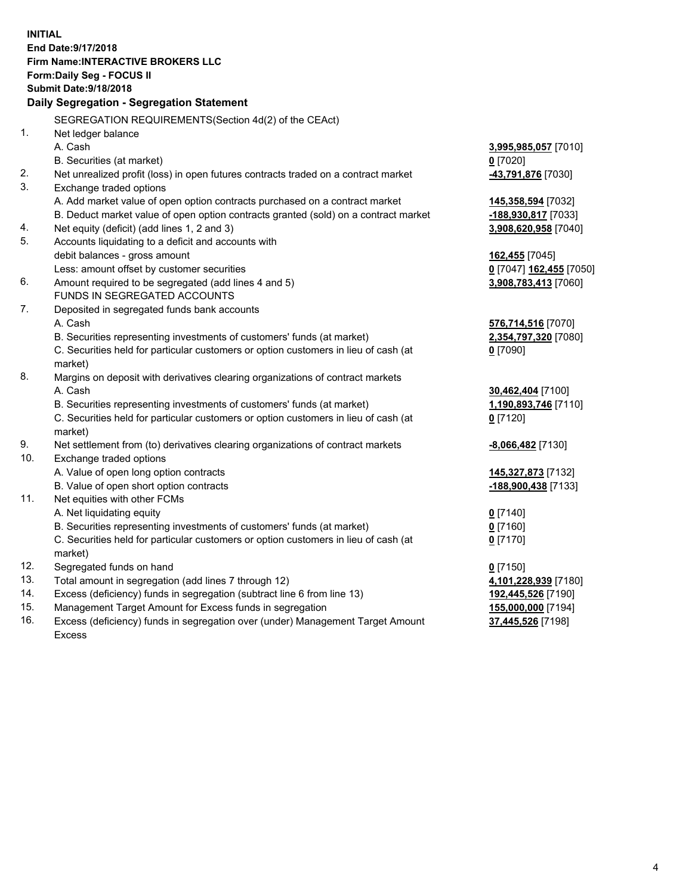**INITIAL End Date:9/17/2018 Firm Name:INTERACTIVE BROKERS LLC Form:Daily Seg - FOCUS II Submit Date:9/18/2018 Daily Segregation - Segregation Statement** SEGREGATION REQUIREMENTS(Section 4d(2) of the CEAct) 1. Net ledger balance A. Cash **3,995,985,057** [7010] B. Securities (at market) **0** [7020] 2. Net unrealized profit (loss) in open futures contracts traded on a contract market **-43,791,876** [7030] 3. Exchange traded options A. Add market value of open option contracts purchased on a contract market **145,358,594** [7032] B. Deduct market value of open option contracts granted (sold) on a contract market **-188,930,817** [7033] 4. Net equity (deficit) (add lines 1, 2 and 3) **3,908,620,958** [7040] 5. Accounts liquidating to a deficit and accounts with debit balances - gross amount **162,455** [7045] Less: amount offset by customer securities **0** [7047] **162,455** [7050] 6. Amount required to be segregated (add lines 4 and 5) **3,908,783,413** [7060] FUNDS IN SEGREGATED ACCOUNTS 7. Deposited in segregated funds bank accounts A. Cash **576,714,516** [7070] B. Securities representing investments of customers' funds (at market) **2,354,797,320** [7080] C. Securities held for particular customers or option customers in lieu of cash (at market) **0** [7090] 8. Margins on deposit with derivatives clearing organizations of contract markets A. Cash **30,462,404** [7100] B. Securities representing investments of customers' funds (at market) **1,190,893,746** [7110] C. Securities held for particular customers or option customers in lieu of cash (at market) **0** [7120] 9. Net settlement from (to) derivatives clearing organizations of contract markets **-8,066,482** [7130] 10. Exchange traded options A. Value of open long option contracts **145,327,873** [7132] B. Value of open short option contracts **-188,900,438** [7133] 11. Net equities with other FCMs A. Net liquidating equity **0** [7140] B. Securities representing investments of customers' funds (at market) **0** [7160] C. Securities held for particular customers or option customers in lieu of cash (at market) **0** [7170] 12. Segregated funds on hand **0** [7150] 13. Total amount in segregation (add lines 7 through 12) **4,101,228,939** [7180] 14. Excess (deficiency) funds in segregation (subtract line 6 from line 13) **192,445,526** [7190] 15. Management Target Amount for Excess funds in segregation **155,000,000** [7194] **37,445,526** [7198]

16. Excess (deficiency) funds in segregation over (under) Management Target Amount Excess